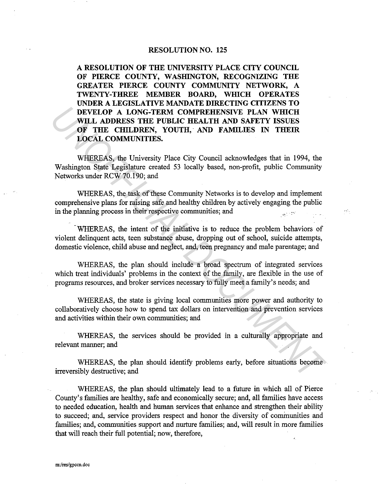## RESOLUTION NO. 125

A RESOLUTION OF THE UNIVERSITY PLACE CITY COUNCIL OF PIERCE COUNTY, WASHINGTON, RECOGNIZING THE GREATER PIERCE COUNTY COMMUNITY NETWORK, A TWENTY-THREE MEMBER BOARD, WHICH OPERATES UNDER A LEGISLATIVE MANDATE DIRECTING CITIZENS TO DEVELOP A LONG-TERM COMPREHENSIVE PLAN WHICH WILL ADDRESS THE PUBLIC HEALTH AND SAFETY ISSUES OF THE CHILDREN, YOUTH, AND FAMILIES IN THEIR LOCAL COMMUNITIES. **UNIL ADDRESS THE PUBLIC HEALTH AND SAFETY ISSUES<br>
WILL ADDRESS THE PUBLIC HEALTH AND SAFETY ISSUES<br>
OF THE CHILDREN, YOUTH, AND FAMILIES IN THEIR<br>
LOCAL COMMUNITIES.<br>
WHEREAS, the University Place City Council acknowledge** 

WHEREAS, the University Place City Council acknowledges that in 1994, the Washington State Legislature created 53 locally based, non-profit, public Community Networks under RCW 70.190; and

WHEREAS, the task of these Community Networks is to develop and implement comprehensive plans for raising safe and healthy children by actively engaging the public in the planning process in their respective communities; and

WHEREAS, the intent of the initiative is to reduce the problem behaviors of violent delinquent acts, teen substance abuse, dropping out of school, suicide attempts, domestic violence, child abuse and neglect, and, teen pregnancy and male parentage; and

WHEREAS, the plan should include a broad spectrum of integrated services which treat individuals' problems in the context of the family, are flexible in the use of programs resources, and broker services necessary to fully meet a family's needs; and

WHEREAS, the state is giving local communities more power and authority to collaboratively choose how to spend tax dollars on intervention and prevention services and activities within their own communities; and

WHEREAS, the services should be provided in a culturally appropriate and relevant manner; and

WHEREAS, the plan should identify problems early, before situations become irreversibly destructive; and

WHEREAS, the plan should ultimately lead to a future in which all of Pierce County's families are healthy, safe and economically secure; and, all families have access to needed education, health and human services that enhance and strengthen their ability to succeed; and, service providers respect and honor the diversity of communities and families; and, communities support and nurture families; and, will result in more families that will reach their full potential; now, therefore,